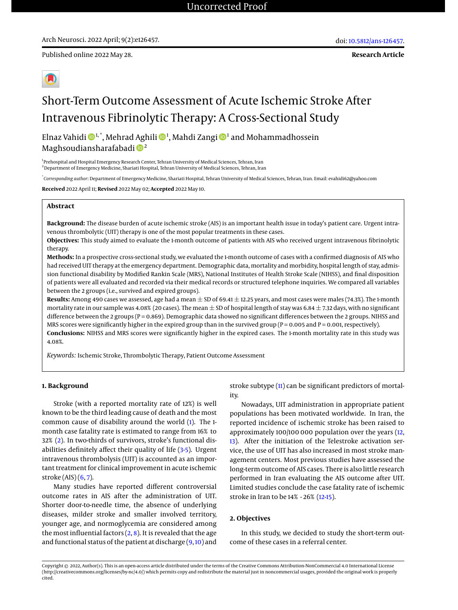**Research Article**



# Short-Term Outcome Assessment of Acute Ischemic Stroke After Intravenous Fibrinolytic Therapy: A Cross-Sectional Study

Elnaz Vahidi  $\mathbf{\Phi}^{1, *},$  Mehrad Aghili  $\mathbf{\Phi}^{1},$  Mahdi Zangi  $\mathbf{\Phi}^{1}$  and Mohammadhossein Maghsoudiansharafabadi  $\mathbb{D}^2$ 

<sup>1</sup> Prehospital and Hospital Emergency Research Center, Tehran University of Medical Sciences, Tehran, Iran <sup>2</sup> Department of Emergency Medicine, Shariati Hospital, Tehran University of Medical Sciences, Tehran, Iran

\* *Corresponding author*: Department of Emergency Medicine, Shariati Hospital, Tehran University of Medical Sciences, Tehran, Iran. Email: evahidi62@yahoo.com

**Received** 2022 April 11; **Revised** 2022 May 02; **Accepted** 2022 May 10.

# **Abstract**

**Background:** The disease burden of acute ischemic stroke (AIS) is an important health issue in today's patient care. Urgent intravenous thrombolytic (UIT) therapy is one of the most popular treatments in these cases.

**Objectives:** This study aimed to evaluate the 1-month outcome of patients with AIS who received urgent intravenous fibrinolytic therapy.

**Methods:** In a prospective cross-sectional study, we evaluated the 1-month outcome of cases with a confirmed diagnosis of AIS who had received UIT therapy at the emergency department. Demographic data, mortality and morbidity, hospital length of stay, admission functional disability by Modified Rankin Scale (MRS), National Institutes of Health Stroke Scale (NIHSS), and final disposition of patients were all evaluated and recorded via their medical records or structured telephone inquiries. We compared all variables between the 2 groups (i.e., survived and expired groups).

**Results:** Among 490 cases we assessed, age had a mean  $\pm$  SD of 69.41  $\pm$  12.25 years, and most cases were males (74.3%). The 1-month mortality rate in our sample was 4.08% (20 cases). The mean  $\pm$  SD of hospital length of stay was 6.84  $\pm$  7.32 days, with no significant difference between the 2 groups (P = 0.869). Demographic data showed no significant differences between the 2 groups. NIHSS and MRS scores were significantly higher in the expired group than in the survived group ( $P = 0.005$  and  $P = 0.001$ , respectively). **Conclusions:** NIHSS and MRS scores were significantly higher in the expired cases. The 1-month mortality rate in this study was 4.08%.

*Keywords:* Ischemic Stroke, Thrombolytic Therapy, Patient Outcome Assessment

# **1. Background**

Stroke (with a reported mortality rate of 12%) is well known to be the third leading cause of death and the most common cause of disability around the world [\(1\)](#page-3-0). The 1 month case fatality rate is estimated to range from 16% to 32% [\(2\)](#page-3-1). In two-thirds of survivors, stroke's functional disabilities definitely affect their quality of life [\(3](#page-3-2)[-5\)](#page-3-3). Urgent intravenous thrombolysis (UIT) is accounted as an important treatment for clinical improvement in acute ischemic stroke (AIS) [\(6,](#page-3-4) [7\)](#page-3-5).

Many studies have reported different controversial outcome rates in AIS after the administration of UIT. Shorter door-to-needle time, the absence of underlying diseases, milder stroke and smaller involved territory, younger age, and normoglycemia are considered among the most influential factors  $(2, 8)$  $(2, 8)$  $(2, 8)$ . It is revealed that the age and functional status of the patient at discharge [\(9,](#page-3-7)[10\)](#page-3-8) and

stroke subtype [\(11\)](#page-3-9) can be significant predictors of mortality.

Nowadays, UIT administration in appropriate patient populations has been motivated worldwide. In Iran, the reported incidence of ischemic stroke has been raised to approximately 100/100 000 population over the years [\(12,](#page-4-0) [13\)](#page-4-1). After the initiation of the Telestroke activation service, the use of UIT has also increased in most stroke management centers. Most previous studies have assessed the long-term outcome of AIS cases. There is also little research performed in Iran evaluating the AIS outcome after UIT. Limited studies conclude the case fatality rate of ischemic stroke in Iran to be 14% - 26% [\(12-](#page-4-0)[15\)](#page-4-2).

## **2. Objectives**

In this study, we decided to study the short-term outcome of these cases in a referral center.

Copyright © 2022, Author(s). This is an open-access article distributed under the terms of the Creative Commons Attribution-NonCommercial 4.0 International License (http://creativecommons.org/licenses/by-nc/4.0/) which permits copy and redistribute the material just in noncommercial usages, provided the original work is properly cited.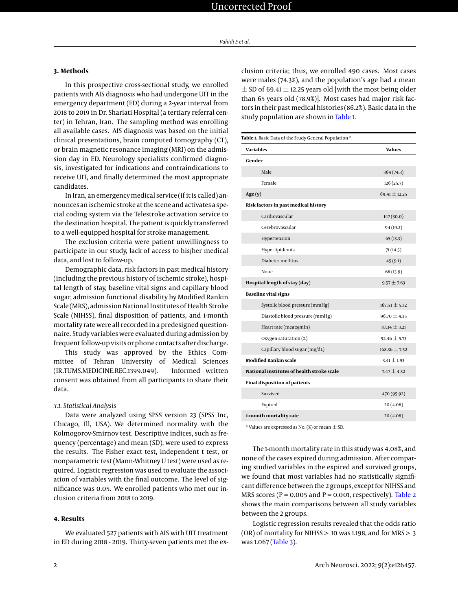#### **3. Methods**

In this prospective cross-sectional study, we enrolled patients with AIS diagnosis who had undergone UIT in the emergency department (ED) during a 2-year interval from 2018 to 2019 in Dr. Shariati Hospital (a tertiary referral center) in Tehran, Iran. The sampling method was enrolling all available cases. AIS diagnosis was based on the initial clinical presentations, brain computed tomography (CT), or brain magnetic resonance imaging (MRI) on the admission day in ED. Neurology specialists confirmed diagnosis, investigated for indications and contraindications to receive UIT, and finally determined the most appropriate candidates.

In Iran, an emergencymedical service (if it is called) announces an ischemic stroke at the scene and activates a special coding system via the Telestroke activation service to the destination hospital. The patient is quickly transferred to a well-equipped hospital for stroke management.

The exclusion criteria were patient unwillingness to participate in our study, lack of access to his/her medical data, and lost to follow-up.

Demographic data, risk factors in past medical history (including the previous history of ischemic stroke), hospital length of stay, baseline vital signs and capillary blood sugar, admission functional disability by Modified Rankin Scale (MRS), admission National Institutes of Health Stroke Scale (NIHSS), final disposition of patients, and 1-month mortality rate were all recorded in a predesigned questionnaire. Study variables were evaluated during admission by frequent follow-up visits or phone contacts after discharge.

This study was approved by the Ethics Committee of Tehran University of Medical Sciences (IR.TUMS.MEDICINE.REC.1399.049). Informed written consent was obtained from all participants to share their data.

#### *3.1. Statistical Analysis*

Data were analyzed using SPSS version 23 (SPSS Inc, Chicago, Ill, USA). We determined normality with the Kolmogorov-Smirnov test. Descriptive indices, such as frequency (percentage) and mean (SD), were used to express the results. The Fisher exact test, independent t test, or nonparametric test (Mann-Whitney U test) were used as required. Logistic regression was used to evaluate the association of variables with the final outcome. The level of significance was 0.05. We enrolled patients who met our inclusion criteria from 2018 to 2019.

## **4. Results**

We evaluated 527 patients with AIS with UIT treatment in ED during 2018 - 2019. Thirty-seven patients met the exclusion criteria; thus, we enrolled 490 cases. Most cases were males (74.3%), and the population's age had a mean  $\pm$  SD of 69.41  $\pm$  12.25 years old [with the most being older than 65 years old (78.9%)]. Most cases had major risk factors in their pastmedical histories (86.2%). Basic data in the study population are shown in [Table 1.](#page-1-0)

<span id="page-1-0"></span>

| Table 1. Basic Data of the Study General Population <sup>a</sup> |                   |  |  |
|------------------------------------------------------------------|-------------------|--|--|
| <b>Variables</b>                                                 | <b>Values</b>     |  |  |
| Gender                                                           |                   |  |  |
| Male                                                             | 364 (74.3)        |  |  |
| Female                                                           | 126(25.7)         |  |  |
| Age $(y)$                                                        | $69.41 \pm 12.25$ |  |  |
| Risk factors in past medical history                             |                   |  |  |
| Cardiovascular                                                   | 147(30.0)         |  |  |
| Cerebrovascular                                                  | 94 (19.2)         |  |  |
| Hypertension                                                     | 65(13.3)          |  |  |
| Hyperlipidemia                                                   | 71(14.5)          |  |  |
| Diabetes mellitus                                                | 45(9.1)           |  |  |
| None                                                             | 68 (13.9)         |  |  |
| Hospital length of stay (day)                                    | $9.57 + 7.63$     |  |  |
| <b>Baseline vital signs</b>                                      |                   |  |  |
| Systolic blood pressure (mmHg)                                   | $167.53 \pm 5.32$ |  |  |
| Diastolic blood pressure (mmHg)                                  | $96.70 \pm 4.35$  |  |  |
| Heart rate (meats/min)                                           | $87.34 \pm 3.21$  |  |  |
| Oxygen saturation (%)                                            | $92.46 \pm 5.73$  |  |  |
| Capillary blood sugar (mg/dL)                                    | $168.36 \pm 7.52$ |  |  |
| <b>Modified Rankin scale</b>                                     | $3.41 \pm 1.93$   |  |  |
| National institutes of health stroke scale                       | $7.47 \pm 4.32$   |  |  |
| <b>Final disposition of patients</b>                             |                   |  |  |
| Survived                                                         | 470 (95.92)       |  |  |
| Expired                                                          | 20(4.08)          |  |  |
| 1-month mortality rate                                           | 20(4.08)          |  |  |

 $^{\textrm{a}}$  Values are expressed as No. (%) or mean  $\pm$  SD.

The 1-month mortality rate in this study was 4.08%, and none of the cases expired during admission. After comparing studied variables in the expired and survived groups, we found that most variables had no statistically significant difference between the 2 groups, except for NIHSS and MRS scores ( $P = 0.005$  and  $P = 0.001$ , respectively). [Table 2](#page-2-0) shows the main comparisons between all study variables between the 2 groups.

Logistic regression results revealed that the odds ratio (OR) of mortality for NIHSS > 10 was 1.198, and for MRS > 3 was 1.067 [\(Table 3\)](#page-2-1).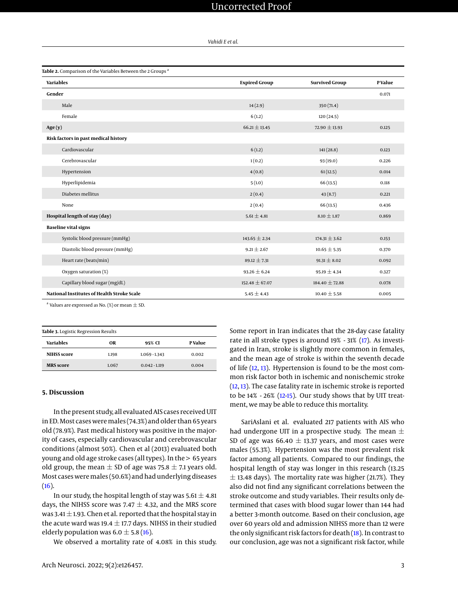*Vahidi E et al.*

<span id="page-2-0"></span>

| Table 2. Comparison of the Variables Between the 2 Groups <sup>a</sup> |                      |                       |         |  |
|------------------------------------------------------------------------|----------------------|-----------------------|---------|--|
| <b>Variables</b>                                                       | <b>Expired Group</b> | <b>Survived Group</b> | P Value |  |
| Gender                                                                 |                      |                       | 0.071   |  |
| Male                                                                   | 14(2.9)              | 350(71.4)             |         |  |
| Female                                                                 | 6(1.2)               | 120(24.5)             |         |  |
| Age(y)                                                                 | $66.21 \pm 13.45$    | $72.90 \pm 13.93$     | 0.125   |  |
| Risk factors in past medical history                                   |                      |                       |         |  |
| Cardiovascular                                                         | 6(1.2)               | 141(28.8)             | 0.123   |  |
| Cerebrovascular                                                        | 1(0.2)               | 93 (19.0)             | 0.226   |  |
| Hypertension                                                           | 4(0.8)               | 61(12.5)              | 0.014   |  |
| Hyperlipidemia                                                         | 5(1.0)               | 66(13.5)              | 0.118   |  |
| Diabetes mellitus                                                      | 2(0.4)               | 43(8.7)               | 0.221   |  |
| None                                                                   | 2(0.4)               | 66(13.5)              | 0.436   |  |
| Hospital length of stay (day)                                          | $5.61 \pm 4.81$      | $8.10 \pm 1.87$       | 0.869   |  |
| <b>Baseline vital signs</b>                                            |                      |                       |         |  |
| Systolic blood pressure (mmHg)                                         | $143.65 \pm 2.34$    | $174.31 \pm 3.62$     | 0.153   |  |
| Diastolic blood pressure (mmHg)                                        | $9.21 \pm 2.67$      | $10.65 \pm 5.35$      | 0.370   |  |
| Heart rate (beats/min)                                                 | $89.12 \pm 7.31$     | $91.31 \pm 8.02$      | 0.092   |  |
| Oxygen saturation (%)                                                  | $93.26 \pm 6.24$     | $95.19 \pm 4.34$      | 0.327   |  |
| Capillary blood sugar (mg/dL)                                          | $152.48 \pm 67.07$   | $184.40 \pm 72.88$    | 0.078   |  |
| National Institutes of Health Stroke Scale                             | $5.45 \pm 4.43$      | $10.40 \pm 5.58$      | 0.005   |  |

 $^{\rm a}$  Values are expressed as No. (%) or mean  $\pm$  SD.

<span id="page-2-1"></span>

| Table 3. Logistic Regression Results |       |                 |         |  |  |
|--------------------------------------|-------|-----------------|---------|--|--|
| Variables                            | OR    | 95% CI          | P Value |  |  |
| <b>NIHSS</b> score                   | 1.198 | $1.069 - 1.343$ | 0.002   |  |  |
| <b>MRS</b> score                     | 1.067 | $0.042 - 1.119$ | 0.004   |  |  |

## **5. Discussion**

In the present study, all evaluated AIS cases received UIT in ED. Most cases were males (74.3%) and older than 65 years old (78.9%). Past medical history was positive in the majority of cases, especially cardiovascular and cerebrovascular conditions (almost 50%). Chen et al (2013) evaluated both young and old age stroke cases (all types). In the > 65 years old group, the mean  $\pm$  SD of age was 75.8  $\pm$  7.1 years old. Most cases weremales (50.6%) and had underlying diseases [\(16\)](#page-4-3).

In our study, the hospital length of stay was  $5.61 \pm 4.81$ days, the NIHSS score was 7.47  $\pm$  4.32, and the MRS score was 3.41  $\pm$  1.93. Chen et al. reported that the hospital stay in the acute ward was 19.4  $\pm$  17.7 days. NIHSS in their studied elderly population was  $6.0 \pm 5.8$  [\(16\)](#page-4-3).

We observed a mortality rate of 4.08% in this study.

Some report in Iran indicates that the 28-day case fatality rate in all stroke types is around 19% - 31% [\(17\)](#page-4-4). As investigated in Iran, stroke is slightly more common in females, and the mean age of stroke is within the seventh decade of life [\(12,](#page-4-0) [13\)](#page-4-1). Hypertension is found to be the most common risk factor both in ischemic and nonischemic stroke [\(12,](#page-4-0) [13\)](#page-4-1). The case fatality rate in ischemic stroke is reported to be 14% - 26% [\(12-](#page-4-0)[15\)](#page-4-2). Our study shows that by UIT treatment, we may be able to reduce this mortality.

SariAslani et al. evaluated 217 patients with AIS who had undergone UIT in a prospective study. The mean  $\pm$ SD of age was  $66.40 \pm 13.37$  years, and most cases were males (55.3%). Hypertension was the most prevalent risk factor among all patients. Compared to our findings, the hospital length of stay was longer in this research (13.25  $\pm$  13.48 days). The mortality rate was higher (21.7%). They also did not find any significant correlations between the stroke outcome and study variables. Their results only determined that cases with blood sugar lower than 144 had a better 3-month outcome. Based on their conclusion, age over 60 years old and admission NIHSS more than 12 were the only significant risk factors for death [\(18\)](#page-4-5). In contrast to our conclusion, age was not a significant risk factor, while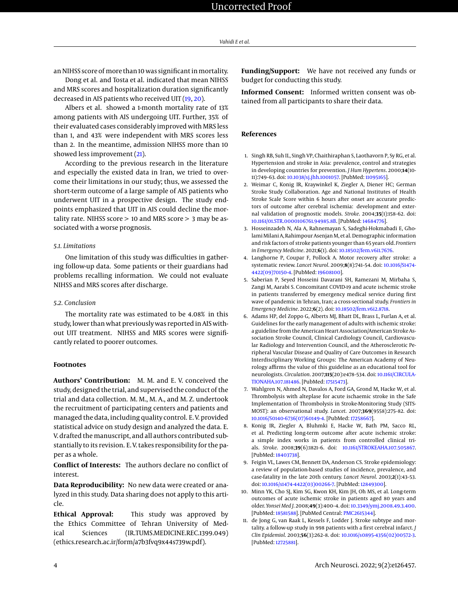an NIHSS score of more than 10 was significant in mortality.

Dong et al. and Tosta et al. indicated that mean NIHSS and MRS scores and hospitalization duration significantly decreased in AIS patients who received UIT [\(19,](#page-4-6) [20\)](#page-4-7).

Albers et al. showed a 1-month mortality rate of 13% among patients with AIS undergoing UIT. Further, 35% of their evaluated cases considerably improved with MRS less than 1, and 43% were independent with MRS scores less than 2. In the meantime, admission NIHSS more than 10 showed less improvement [\(21\)](#page-4-8).

According to the previous research in the literature and especially the existed data in Iran, we tried to overcome their limitations in our study; thus, we assessed the short-term outcome of a large sample of AIS patients who underwent UIT in a prospective design. The study endpoints emphasized that UIT in AIS could decline the mortality rate. NIHSS score > 10 and MRS score > 3 may be associated with a worse prognosis.

#### *5.1. Limitations*

One limitation of this study was difficulties in gathering follow-up data. Some patients or their guardians had problems recalling information. We could not evaluate NIHSS and MRS scores after discharge.

#### *5.2. Conclusion*

The mortality rate was estimated to be 4.08% in this study, lower than what previously was reported in AIS without UIT treatment. NIHSS and MRS scores were significantly related to poorer outcomes.

## **Footnotes**

**Authors' Contribution:** M. M. and E. V. conceived the study, designed the trial, and supervised the conduct of the trial and data collection. M. M., M. A., and M. Z. undertook the recruitment of participating centers and patients and managed the data, including quality control. E. V. provided statistical advice on study design and analyzed the data. E. V. drafted the manuscript, and all authors contributed substantially to its revision. E. V. takes responsibility for the paper as a whole.

**Conflict of Interests:** The authors declare no conflict of interest.

**Data Reproducibility:** No new data were created or analyzed in this study. Data sharing does not apply to this article.

**Ethical Approval:** This study was approved by the Ethics Committee of Tehran University of Medical Sciences (IR.TUMS.MEDICINE.REC.1399.049) (ethics.research.ac.ir/form/a7b3fvq9x44s739w.pdf).

**Funding/Support:** We have not received any funds or budget for conducting this study.

**Informed Consent:** Informed written consent was obtained from all participants to share their data.

# **References**

- <span id="page-3-0"></span>1. Singh RB, Suh IL, Singh VP, Chaithiraphan S, Laothavorn P, Sy RG, et al. Hypertension and stroke in Asia: prevalence, control and strategies in developing countries for prevention. *J Hum Hypertens*. 2000;**14**(10- 11):749–63. doi: [10.1038/sj.jhh.1001057.](http://dx.doi.org/10.1038/sj.jhh.1001057) [PubMed: [11095165\]](http://www.ncbi.nlm.nih.gov/pubmed/11095165).
- <span id="page-3-1"></span>2. Weimar C, Konig IR, Kraywinkel K, Ziegler A, Diener HC; German Stroke Study Collaboration. Age and National Institutes of Health Stroke Scale Score within 6 hours after onset are accurate predictors of outcome after cerebral ischemia: development and external validation of prognostic models. *Stroke*. 2004;**35**(1):158–62. doi: [10.1161/01.STR.0000106761.94985.8B.](http://dx.doi.org/10.1161/01.STR.0000106761.94985.8B) [PubMed: [14684776\]](http://www.ncbi.nlm.nih.gov/pubmed/14684776).
- <span id="page-3-2"></span>3. Hosseinzadeh N, Ala A, Rahnemayan S, Sadeghi-Hokmabadi E, Gholami Milani A, Rahimpour Asenjan M, et al. Demographic information and risk factors of stroke patients younger than 65 years old. *Frontiers in Emergency Medicine*. 2021;**6**(1). doi: [10.18502/fem.v6i1.7676.](http://dx.doi.org/10.18502/fem.v6i1.7676)
- 4. Langhorne P, Coupar F, Pollock A. Motor recovery after stroke: a systematic review. *Lancet Neurol*. 2009;**8**(8):741–54. doi: [10.1016/S1474-](http://dx.doi.org/10.1016/S1474-4422(09)70150-4) [4422\(09\)70150-4.](http://dx.doi.org/10.1016/S1474-4422(09)70150-4) [PubMed: [19608100\]](http://www.ncbi.nlm.nih.gov/pubmed/19608100).
- <span id="page-3-3"></span>5. Saberian P, Seyed Hosseini Davarani SH, Ramezani M, Mirbaha S, Zangi M, Aarabi S. Concomitant COVID-19 and acute ischemic stroke in patients transferred by emergency medical service during first wave of pandemic in Tehran, Iran; a cross-sectional study. *Frontiers in Emergency Medicine*. 2022;**6**(2). doi: [10.18502/fem.v6i2.8718.](http://dx.doi.org/10.18502/fem.v6i2.8718)
- <span id="page-3-4"></span>6. Adams HP, del Zoppo G, Alberts MJ, Bhatt DL, Brass L, Furlan A, et al. Guidelines for the early management of adults with ischemic stroke: a guideline from the American Heart Association/American Stroke Association Stroke Council, Clinical Cardiology Council, Cardiovascular Radiology and Intervention Council, and the Atherosclerotic Peripheral Vascular Disease and Quality of Care Outcomes in Research Interdisciplinary Working Groups: The American Academy of Neurology affirms the value of this guideline as an educational tool for neurologists. *Circulation*. 2007;**115**(20):e478–534. doi: [10.1161/CIRCULA-](http://dx.doi.org/10.1161/CIRCULATIONAHA.107.181486)[TIONAHA.107.181486.](http://dx.doi.org/10.1161/CIRCULATIONAHA.107.181486) [PubMed: [17515473\]](http://www.ncbi.nlm.nih.gov/pubmed/17515473).
- <span id="page-3-5"></span>7. Wahlgren N, Ahmed N, Davalos A, Ford GA, Grond M, Hacke W, et al. Thrombolysis with alteplase for acute ischaemic stroke in the Safe Implementation of Thrombolysis in Stroke-Monitoring Study (SITS-MOST): an observational study. *Lancet*. 2007;**369**(9558):275–82. doi: [10.1016/S0140-6736\(07\)60149-4.](http://dx.doi.org/10.1016/S0140-6736(07)60149-4) [PubMed: [17258667\]](http://www.ncbi.nlm.nih.gov/pubmed/17258667).
- <span id="page-3-6"></span>8. Konig IR, Ziegler A, Bluhmki E, Hacke W, Bath PM, Sacco RL, et al. Predicting long-term outcome after acute ischemic stroke: a simple index works in patients from controlled clinical trials. *Stroke*. 2008;**39**(6):1821–6. doi: [10.1161/STROKEAHA.107.505867.](http://dx.doi.org/10.1161/STROKEAHA.107.505867) [PubMed: [18403738\]](http://www.ncbi.nlm.nih.gov/pubmed/18403738).
- <span id="page-3-7"></span>9. Feigin VL, Lawes CM, Bennett DA, Anderson CS. Stroke epidemiology: a review of population-based studies of incidence, prevalence, and case-fatality in the late 20th century. *Lancet Neurol*. 2003;**2**(1):43–53. doi: [10.1016/s1474-4422\(03\)00266-7.](http://dx.doi.org/10.1016/s1474-4422(03)00266-7) [PubMed: [12849300\]](http://www.ncbi.nlm.nih.gov/pubmed/12849300).
- <span id="page-3-8"></span>10. Minn YK, Cho SJ, Kim SG, Kwon KH, Kim JH, Oh MS, et al. Long-term outcomes of acute ischemic stroke in patients aged 80 years and older. *Yonsei Med J*. 2008;**49**(3):400–4. doi: [10.3349/ymj.2008.49.3.400.](http://dx.doi.org/10.3349/ymj.2008.49.3.400) [PubMed: [18581588\]](http://www.ncbi.nlm.nih.gov/pubmed/18581588). [PubMed Central: [PMC2615344\]](https://www.ncbi.nlm.nih.gov/pmc/articles/PMC2615344).
- <span id="page-3-9"></span>11. de Jong G, van Raak L, Kessels F, Lodder J. Stroke subtype and mortality. a follow-up study in 998 patients with a first cerebral infarct. *J Clin Epidemiol*. 2003;**56**(3):262–8. doi: [10.1016/s0895-4356\(02\)00572-3.](http://dx.doi.org/10.1016/s0895-4356(02)00572-3) [PubMed: [12725881\]](http://www.ncbi.nlm.nih.gov/pubmed/12725881).